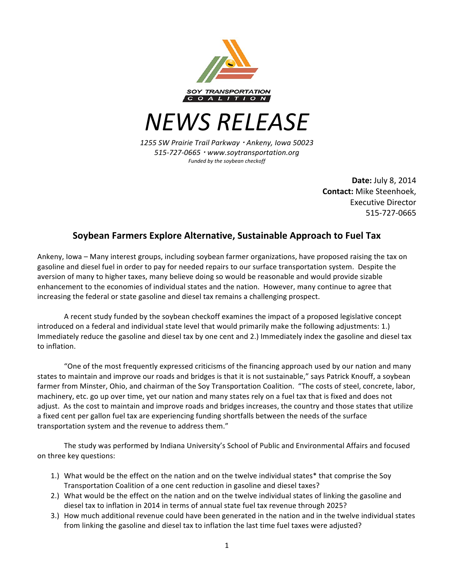

*NEWS RELEASE*

*1255 SW Prairie Trail Parkway* ! *Ankeny, Iowa 50023 515-727-0665* ! *www.soytransportation.org Funded by the soybean checkoff*

> **Date:** July 8, 2014 **Contact:** Mike Steenhoek, Executive Director 515-727-0665

## **Soybean Farmers Explore Alternative, Sustainable Approach to Fuel Tax**

Ankeny, Iowa – Many interest groups, including soybean farmer organizations, have proposed raising the tax on gasoline and diesel fuel in order to pay for needed repairs to our surface transportation system. Despite the aversion of many to higher taxes, many believe doing so would be reasonable and would provide sizable enhancement to the economies of individual states and the nation. However, many continue to agree that increasing the federal or state gasoline and diesel tax remains a challenging prospect.

A recent study funded by the soybean checkoff examines the impact of a proposed legislative concept introduced on a federal and individual state level that would primarily make the following adjustments: 1.) Immediately reduce the gasoline and diesel tax by one cent and 2.) Immediately index the gasoline and diesel tax to inflation.

"One of the most frequently expressed criticisms of the financing approach used by our nation and many states to maintain and improve our roads and bridges is that it is not sustainable," says Patrick Knouff, a soybean farmer from Minster, Ohio, and chairman of the Soy Transportation Coalition. "The costs of steel, concrete, labor, machinery, etc. go up over time, yet our nation and many states rely on a fuel tax that is fixed and does not adjust. As the cost to maintain and improve roads and bridges increases, the country and those states that utilize a fixed cent per gallon fuel tax are experiencing funding shortfalls between the needs of the surface transportation system and the revenue to address them."

The study was performed by Indiana University's School of Public and Environmental Affairs and focused on three key questions:

- 1.) What would be the effect on the nation and on the twelve individual states\* that comprise the Soy Transportation Coalition of a one cent reduction in gasoline and diesel taxes?
- 2.) What would be the effect on the nation and on the twelve individual states of linking the gasoline and diesel tax to inflation in 2014 in terms of annual state fuel tax revenue through 2025?
- 3.) How much additional revenue could have been generated in the nation and in the twelve individual states from linking the gasoline and diesel tax to inflation the last time fuel taxes were adjusted?